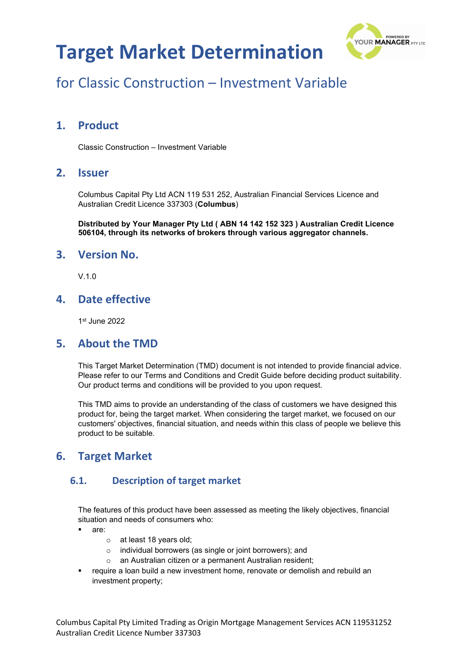

## for Classic Construction – Investment Variable

### **1. Product**

Classic Construction – Investment Variable

### **2. Issuer**

Columbus Capital Pty Ltd ACN 119 531 252, Australian Financial Services Licence and Australian Credit Licence 337303 (**Columbus**)

**Distributed by Your Manager Pty Ltd ( ABN 14 142 152 323 ) Australian Credit Licence 506104, through its networks of brokers through various aggregator channels.**

### **3. Version No.**

V.1.0

### **4. Date effective**

1st June 2022

#### **5. About the TMD**

This Target Market Determination (TMD) document is not intended to provide financial advice. Please refer to our Terms and Conditions and Credit Guide before deciding product suitability. Our product terms and conditions will be provided to you upon request.

This TMD aims to provide an understanding of the class of customers we have designed this product for, being the target market. When considering the target market, we focused on our customers' objectives, financial situation, and needs within this class of people we believe this product to be suitable.

### **6. Target Market**

#### **6.1. Description of target market**

The features of this product have been assessed as meeting the likely objectives, financial situation and needs of consumers who:

- are:
	- o at least 18 years old;
	- o individual borrowers (as single or joint borrowers); and
	- o an Australian citizen or a permanent Australian resident;
- require a loan build a new investment home, renovate or demolish and rebuild an investment property;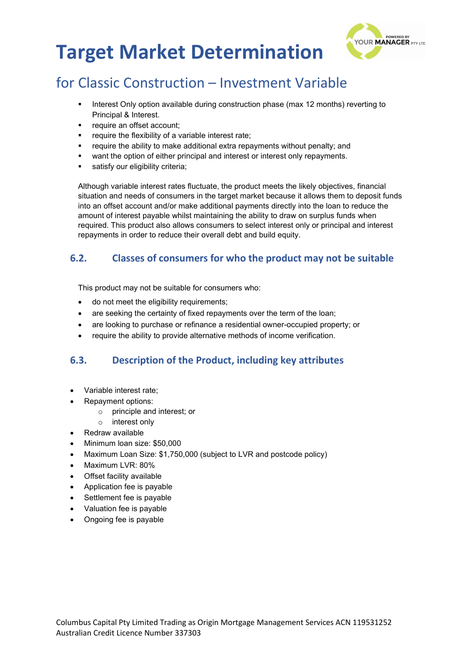

## for Classic Construction – Investment Variable

- Interest Only option available during construction phase (max 12 months) reverting to Principal & Interest.
- require an offset account;
- require the flexibility of a variable interest rate;
- require the ability to make additional extra repayments without penalty; and
- want the option of either principal and interest or interest only repayments.
- satisfy our eligibility criteria;

Although variable interest rates fluctuate, the product meets the likely objectives, financial situation and needs of consumers in the target market because it allows them to deposit funds into an offset account and/or make additional payments directly into the loan to reduce the amount of interest payable whilst maintaining the ability to draw on surplus funds when required. This product also allows consumers to select interest only or principal and interest repayments in order to reduce their overall debt and build equity.

### **6.2. Classes of consumers for who the product may not be suitable**

This product may not be suitable for consumers who:

- do not meet the eligibility requirements;
- are seeking the certainty of fixed repayments over the term of the loan;
- are looking to purchase or refinance a residential owner-occupied property; or
- require the ability to provide alternative methods of income verification.

#### **6.3. Description of the Product, including key attributes**

- Variable interest rate;
- Repayment options:
	- o principle and interest; or
	- o interest only
- Redraw available
- Minimum loan size: \$50,000
- Maximum Loan Size: \$1,750,000 (subject to LVR and postcode policy)
- Maximum LVR: 80%
- Offset facility available
- Application fee is payable
- Settlement fee is payable
- Valuation fee is payable
- Ongoing fee is payable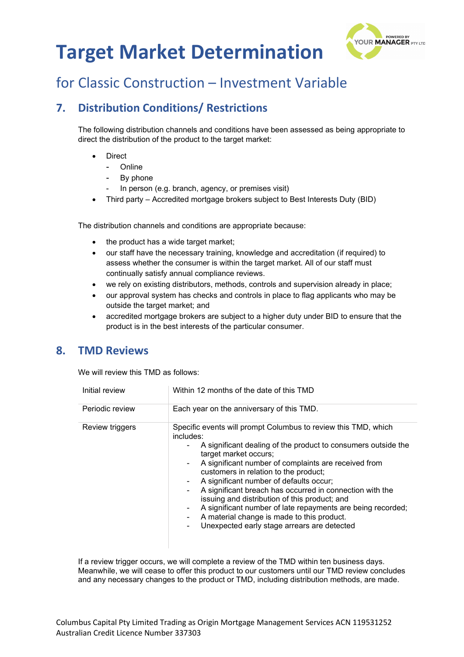

### for Classic Construction – Investment Variable

### **7. Distribution Conditions/ Restrictions**

The following distribution channels and conditions have been assessed as being appropriate to direct the distribution of the product to the target market:

- **Direct** 
	- **Online**
	- By phone
	- In person (e.g. branch, agency, or premises visit)
- Third party Accredited mortgage brokers subject to Best Interests Duty (BID)

The distribution channels and conditions are appropriate because:

- the product has a wide target market;
- our staff have the necessary training, knowledge and accreditation (if required) to assess whether the consumer is within the target market. All of our staff must continually satisfy annual compliance reviews.
- we rely on existing distributors, methods, controls and supervision already in place;
- our approval system has checks and controls in place to flag applicants who may be outside the target market; and
- accredited mortgage brokers are subject to a higher duty under BID to ensure that the product is in the best interests of the particular consumer.

### **8. TMD Reviews**

We will review this TMD as follows:

| Initial review  | Within 12 months of the date of this TMD                                                                                                                                                                                                                                                                                                                                                                                                                                                                                                                                                                                                   |
|-----------------|--------------------------------------------------------------------------------------------------------------------------------------------------------------------------------------------------------------------------------------------------------------------------------------------------------------------------------------------------------------------------------------------------------------------------------------------------------------------------------------------------------------------------------------------------------------------------------------------------------------------------------------------|
| Periodic review | Each year on the anniversary of this TMD.                                                                                                                                                                                                                                                                                                                                                                                                                                                                                                                                                                                                  |
| Review triggers | Specific events will prompt Columbus to review this TMD, which<br>includes:<br>A significant dealing of the product to consumers outside the<br>$\sim$<br>target market occurs;<br>A significant number of complaints are received from<br>$\sim$<br>customers in relation to the product;<br>A significant number of defaults occur;<br>۰<br>A significant breach has occurred in connection with the<br>issuing and distribution of this product; and<br>A significant number of late repayments are being recorded;<br>$\blacksquare$<br>A material change is made to this product.<br>۰<br>Unexpected early stage arrears are detected |

If a review trigger occurs, we will complete a review of the TMD within ten business days. Meanwhile, we will cease to offer this product to our customers until our TMD review concludes and any necessary changes to the product or TMD, including distribution methods, are made.